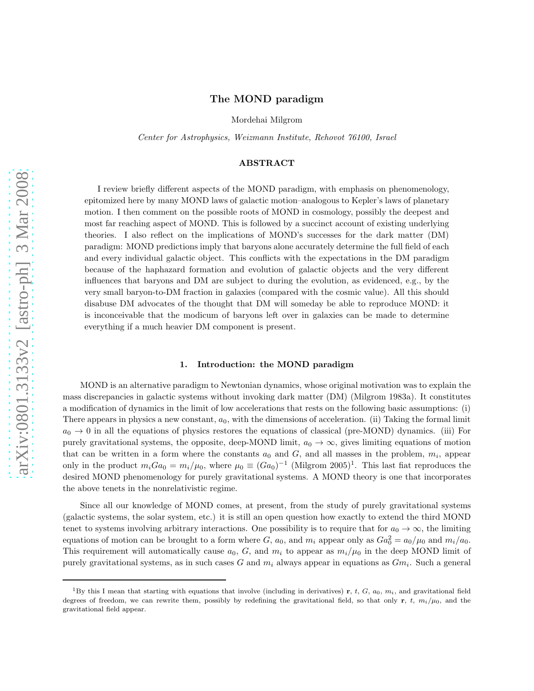# The MOND paradigm

Mordehai Milgrom

Center for Astrophysics, Weizmann Institute, Rehovot 76100, Israel

## ABSTRACT

I review briefly different aspects of the MOND paradigm, with emphasis on phenomenology, epitomized here by many MOND laws of galactic motion–analogous to Kepler's laws of planetary motion. I then comment on the possible roots of MOND in cosmology, possibly the deepest and most far reaching aspect of MOND. This is followed by a succinct account of existing underlying theories. I also reflect on the implications of MOND's successes for the dark matter (DM) paradigm: MOND predictions imply that baryons alone accurately determine the full field of each and every individual galactic object. This conflicts with the expectations in the DM paradigm because of the haphazard formation and evolution of galactic objects and the very different influences that baryons and DM are subject to during the evolution, as evidenced, e.g., by the very small baryon-to-DM fraction in galaxies (compared with the cosmic value). All this should disabuse DM advocates of the thought that DM will someday be able to reproduce MOND: it is inconceivable that the modicum of baryons left over in galaxies can be made to determine everything if a much heavier DM component is present.

## 1. Introduction: the MOND paradigm

MOND is an alternative paradigm to Newtonian dynamics, whose original motivation was to explain the mass discrepancies in galactic systems without invoking dark matter (DM) (Milgrom 1983a). It constitutes a modification of dynamics in the limit of low accelerations that rests on the following basic assumptions: (i) There appears in physics a new constant,  $a_0$ , with the dimensions of acceleration. (ii) Taking the formal limit  $a_0 \rightarrow 0$  in all the equations of physics restores the equations of classical (pre-MOND) dynamics. (iii) For purely gravitational systems, the opposite, deep-MOND limit,  $a_0 \rightarrow \infty$ , gives limiting equations of motion that can be written in a form where the constants  $a_0$  and  $G$ , and all masses in the problem,  $m_i$ , appear only in the product  $m_iGa_0 = m_i/\mu_0$ , where  $\mu_0 \equiv (Ga_0)^{-1}$  (Milgrom 2005)<sup>1</sup>. This last fiat reproduces the desired MOND phenomenology for purely gravitational systems. A MOND theory is one that incorporates the above tenets in the nonrelativistic regime.

Since all our knowledge of MOND comes, at present, from the study of purely gravitational systems (galactic systems, the solar system, etc.) it is still an open question how exactly to extend the third MOND tenet to systems involving arbitrary interactions. One possibility is to require that for  $a_0 \to \infty$ , the limiting equations of motion can be brought to a form where G,  $a_0$ , and  $m_i$  appear only as  $Ga_0^2 = a_0/\mu_0$  and  $m_i/a_0$ . This requirement will automatically cause  $a_0$ , G, and  $m_i$  to appear as  $m_i/\mu_0$  in the deep MOND limit of purely gravitational systems, as in such cases G and  $m_i$  always appear in equations as  $Gm_i$ . Such a general

<sup>&</sup>lt;sup>1</sup>By this I mean that starting with equations that involve (including in derivatives) r, t, G,  $a_0$ ,  $m_i$ , and gravitational field degrees of freedom, we can rewrite them, possibly by redefining the gravitational field, so that only r, t,  $m_i/\mu_0$ , and the gravitational field appear.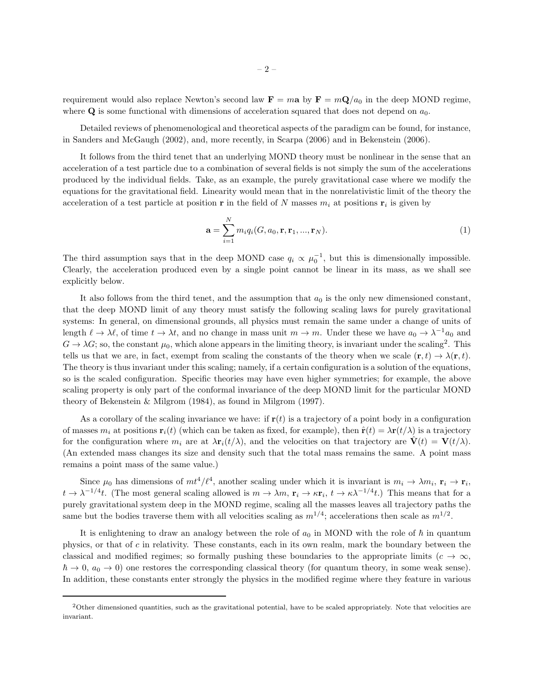requirement would also replace Newton's second law  $\mathbf{F} = m\mathbf{a}$  by  $\mathbf{F} = m\mathbf{Q}/a_0$  in the deep MOND regime, where  $\bf{Q}$  is some functional with dimensions of acceleration squared that does not depend on  $a_0$ .

Detailed reviews of phenomenological and theoretical aspects of the paradigm can be found, for instance, in Sanders and McGaugh (2002), and, more recently, in Scarpa (2006) and in Bekenstein (2006).

It follows from the third tenet that an underlying MOND theory must be nonlinear in the sense that an acceleration of a test particle due to a combination of several fields is not simply the sum of the accelerations produced by the individual fields. Take, as an example, the purely gravitational case where we modify the equations for the gravitational field. Linearity would mean that in the nonrelativistic limit of the theory the acceleration of a test particle at position **r** in the field of N masses  $m_i$  at positions **r**<sub>i</sub> is given by

$$
\mathbf{a} = \sum_{i=1}^{N} m_i q_i (G, a_0, \mathbf{r}, \mathbf{r}_1, ..., \mathbf{r}_N).
$$
 (1)

The third assumption says that in the deep MOND case  $q_i \propto \mu_0^{-1}$ , but this is dimensionally impossible. Clearly, the acceleration produced even by a single point cannot be linear in its mass, as we shall see explicitly below.

It also follows from the third tenet, and the assumption that  $a_0$  is the only new dimensioned constant, that the deep MOND limit of any theory must satisfy the following scaling laws for purely gravitational systems: In general, on dimensional grounds, all physics must remain the same under a change of units of length  $\ell \to \lambda \ell$ , of time  $t \to \lambda t$ , and no change in mass unit  $m \to m$ . Under these we have  $a_0 \to \lambda^{-1} a_0$  and  $G \to \lambda G$ ; so, the constant  $\mu_0$ , which alone appears in the limiting theory, is invariant under the scaling<sup>2</sup>. This tells us that we are, in fact, exempt from scaling the constants of the theory when we scale  $(\mathbf{r}, t) \to \lambda(\mathbf{r}, t)$ . The theory is thus invariant under this scaling; namely, if a certain configuration is a solution of the equations, so is the scaled configuration. Specific theories may have even higher symmetries; for example, the above scaling property is only part of the conformal invariance of the deep MOND limit for the particular MOND theory of Bekenstein & Milgrom (1984), as found in Milgrom (1997).

As a corollary of the scaling invariance we have: if  $\mathbf{r}(t)$  is a trajectory of a point body in a configuration of masses  $m_i$  at positions  $\mathbf{r}_i(t)$  (which can be taken as fixed, for example), then  $\hat{\mathbf{r}}(t) = \lambda \mathbf{r}(t/\lambda)$  is a trajectory for the configuration where  $m_i$  are at  $\lambda \mathbf{r}_i(t/\lambda)$ , and the velocities on that trajectory are  $\dot{\mathbf{V}}(t) = \mathbf{V}(t/\lambda)$ . (An extended mass changes its size and density such that the total mass remains the same. A point mass remains a point mass of the same value.)

Since  $\mu_0$  has dimensions of  $m t^4 / \ell^4$ , another scaling under which it is invariant is  $m_i \to \lambda m_i$ ,  $\mathbf{r}_i \to \mathbf{r}_i$ ,  $t \to \lambda^{-1/4}t$ . (The most general scaling allowed is  $m \to \lambda m$ ,  $\mathbf{r}_i \to \kappa \mathbf{r}_i$ ,  $t \to \kappa \lambda^{-1/4}t$ .) This means that for a purely gravitational system deep in the MOND regime, scaling all the masses leaves all trajectory paths the same but the bodies traverse them with all velocities scaling as  $m^{1/4}$ ; accelerations then scale as  $m^{1/2}$ .

It is enlightening to draw an analogy between the role of  $a_0$  in MOND with the role of  $\hbar$  in quantum physics, or that of  $c$  in relativity. These constants, each in its own realm, mark the boundary between the classical and modified regimes; so formally pushing these boundaries to the appropriate limits  $(c \to \infty,$  $\hbar \to 0$ ,  $a_0 \to 0$ ) one restores the corresponding classical theory (for quantum theory, in some weak sense). In addition, these constants enter strongly the physics in the modified regime where they feature in various

<sup>2</sup>Other dimensioned quantities, such as the gravitational potential, have to be scaled appropriately. Note that velocities are invariant.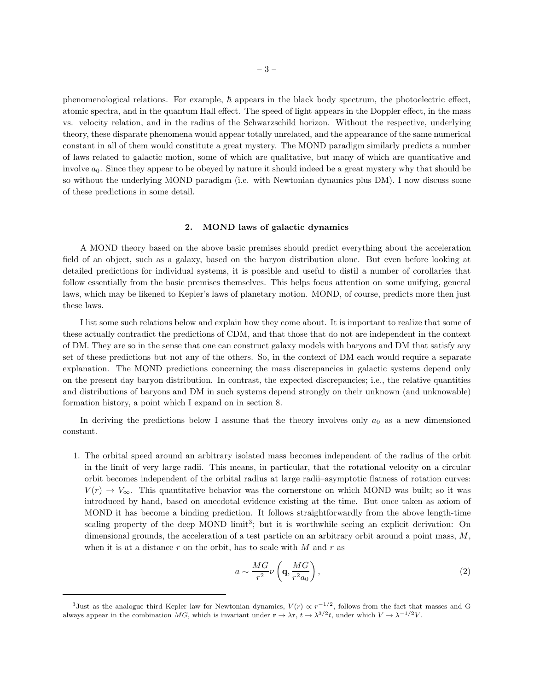phenomenological relations. For example,  $\hbar$  appears in the black body spectrum, the photoelectric effect, atomic spectra, and in the quantum Hall effect. The speed of light appears in the Doppler effect, in the mass vs. velocity relation, and in the radius of the Schwarzschild horizon. Without the respective, underlying theory, these disparate phenomena would appear totally unrelated, and the appearance of the same numerical constant in all of them would constitute a great mystery. The MOND paradigm similarly predicts a number of laws related to galactic motion, some of which are qualitative, but many of which are quantitative and involve  $a_0$ . Since they appear to be obeyed by nature it should indeed be a great mystery why that should be so without the underlying MOND paradigm (i.e. with Newtonian dynamics plus DM). I now discuss some of these predictions in some detail.

#### 2. MOND laws of galactic dynamics

A MOND theory based on the above basic premises should predict everything about the acceleration field of an object, such as a galaxy, based on the baryon distribution alone. But even before looking at detailed predictions for individual systems, it is possible and useful to distil a number of corollaries that follow essentially from the basic premises themselves. This helps focus attention on some unifying, general laws, which may be likened to Kepler's laws of planetary motion. MOND, of course, predicts more then just these laws.

I list some such relations below and explain how they come about. It is important to realize that some of these actually contradict the predictions of CDM, and that those that do not are independent in the context of DM. They are so in the sense that one can construct galaxy models with baryons and DM that satisfy any set of these predictions but not any of the others. So, in the context of DM each would require a separate explanation. The MOND predictions concerning the mass discrepancies in galactic systems depend only on the present day baryon distribution. In contrast, the expected discrepancies; i.e., the relative quantities and distributions of baryons and DM in such systems depend strongly on their unknown (and unknowable) formation history, a point which I expand on in section 8.

In deriving the predictions below I assume that the theory involves only  $a_0$  as a new dimensioned constant.

1. The orbital speed around an arbitrary isolated mass becomes independent of the radius of the orbit in the limit of very large radii. This means, in particular, that the rotational velocity on a circular orbit becomes independent of the orbital radius at large radii–asymptotic flatness of rotation curves:  $V(r) \rightarrow V_{\infty}$ . This quantitative behavior was the cornerstone on which MOND was built; so it was introduced by hand, based on anecdotal evidence existing at the time. But once taken as axiom of MOND it has become a binding prediction. It follows straightforwardly from the above length-time scaling property of the deep MOND limit<sup>3</sup>; but it is worthwhile seeing an explicit derivation: On dimensional grounds, the acceleration of a test particle on an arbitrary orbit around a point mass, M, when it is at a distance  $r$  on the orbit, has to scale with  $M$  and  $r$  as

$$
a \sim \frac{MG}{r^2} \nu \left( \mathbf{q}, \frac{MG}{r^2 a_0} \right),\tag{2}
$$

<sup>&</sup>lt;sup>3</sup>Just as the analogue third Kepler law for Newtonian dynamics,  $V(r) \propto r^{-1/2}$ , follows from the fact that masses and G always appear in the combination MG, which is invariant under  $\mathbf{r} \to \lambda \mathbf{r}$ ,  $t \to \lambda^{3/2}t$ , under which  $V \to \lambda^{-1/2}V$ .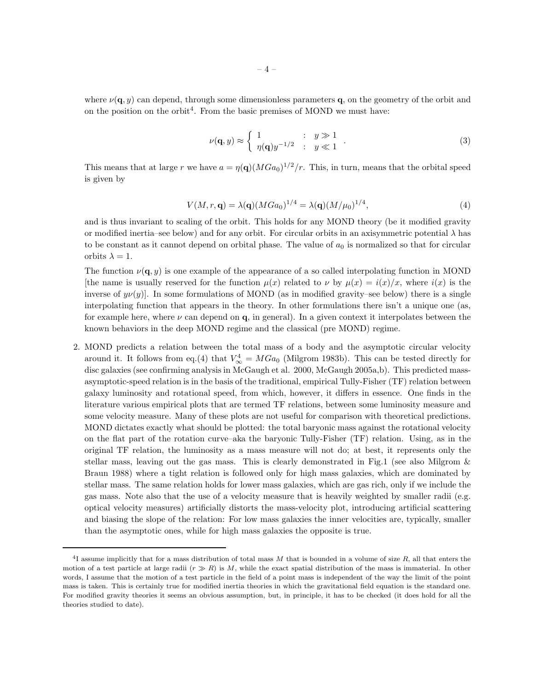where  $\nu(\mathbf{q}, y)$  can depend, through some dimensionless parameters q, on the geometry of the orbit and on the position on the orbit<sup>4</sup>. From the basic premises of MOND we must have:

$$
\nu(\mathbf{q}, y) \approx \begin{cases} 1 & \text{if } y \gg 1 \\ \eta(\mathbf{q})y^{-1/2} & \text{if } y \ll 1 \end{cases} . \tag{3}
$$

This means that at large r we have  $a = \eta(\mathbf{q}) (M Ga_0)^{1/2}/r$ . This, in turn, means that the orbital speed is given by

$$
V(M, r, \mathbf{q}) = \lambda(\mathbf{q}) (M G a_0)^{1/4} = \lambda(\mathbf{q}) (M/\mu_0)^{1/4},
$$
\n(4)

and is thus invariant to scaling of the orbit. This holds for any MOND theory (be it modified gravity or modified inertia–see below) and for any orbit. For circular orbits in an axisymmetric potential  $\lambda$  has to be constant as it cannot depend on orbital phase. The value of  $a_0$  is normalized so that for circular orbits  $\lambda = 1$ .

The function  $\nu(\mathbf{q}, y)$  is one example of the appearance of a so called interpolating function in MOND [the name is usually reserved for the function  $\mu(x)$  related to  $\nu$  by  $\mu(x) = i(x)/x$ , where  $i(x)$  is the inverse of  $y\nu(y)$ . In some formulations of MOND (as in modified gravity–see below) there is a single interpolating function that appears in the theory. In other formulations there isn't a unique one (as, for example here, where  $\nu$  can depend on  $\mathbf{q}$ , in general). In a given context it interpolates between the known behaviors in the deep MOND regime and the classical (pre MOND) regime.

2. MOND predicts a relation between the total mass of a body and the asymptotic circular velocity around it. It follows from eq.(4) that  $V^4_{\infty} = MGa_0$  (Milgrom 1983b). This can be tested directly for disc galaxies (see confirming analysis in McGaugh et al. 2000, McGaugh 2005a,b). This predicted massasymptotic-speed relation is in the basis of the traditional, empirical Tully-Fisher (TF) relation between galaxy luminosity and rotational speed, from which, however, it differs in essence. One finds in the literature various empirical plots that are termed TF relations, between some luminosity measure and some velocity measure. Many of these plots are not useful for comparison with theoretical predictions. MOND dictates exactly what should be plotted: the total baryonic mass against the rotational velocity on the flat part of the rotation curve–aka the baryonic Tully-Fisher (TF) relation. Using, as in the original TF relation, the luminosity as a mass measure will not do; at best, it represents only the stellar mass, leaving out the gas mass. This is clearly demonstrated in Fig.1 (see also Milgrom  $\&$ Braun 1988) where a tight relation is followed only for high mass galaxies, which are dominated by stellar mass. The same relation holds for lower mass galaxies, which are gas rich, only if we include the gas mass. Note also that the use of a velocity measure that is heavily weighted by smaller radii (e.g. optical velocity measures) artificially distorts the mass-velocity plot, introducing artificial scattering and biasing the slope of the relation: For low mass galaxies the inner velocities are, typically, smaller than the asymptotic ones, while for high mass galaxies the opposite is true.

<sup>&</sup>lt;sup>4</sup>I assume implicitly that for a mass distribution of total mass M that is bounded in a volume of size  $R$ , all that enters the motion of a test particle at large radii  $(r \gg R)$  is M, while the exact spatial distribution of the mass is immaterial. In other words, I assume that the motion of a test particle in the field of a point mass is independent of the way the limit of the point mass is taken. This is certainly true for modified inertia theories in which the gravitational field equation is the standard one. For modified gravity theories it seems an obvious assumption, but, in principle, it has to be checked (it does hold for all the theories studied to date).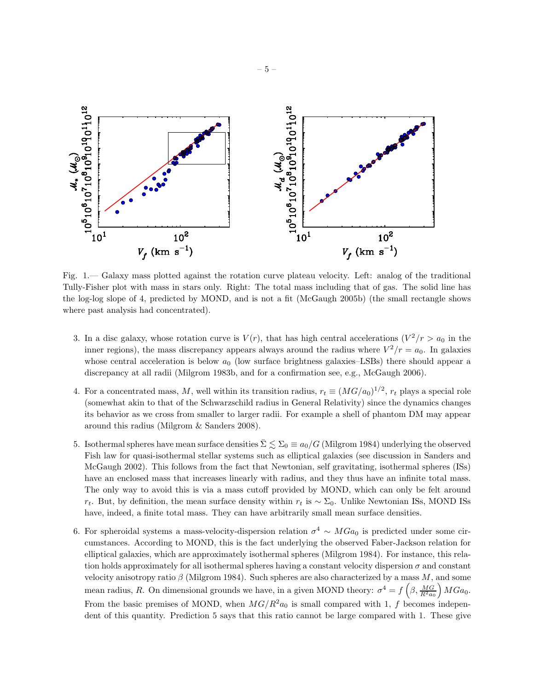

Fig. 1.— Galaxy mass plotted against the rotation curve plateau velocity. Left: analog of the traditional Tully-Fisher plot with mass in stars only. Right: The total mass including that of gas. The solid line has the log-log slope of 4, predicted by MOND, and is not a fit (McGaugh 2005b) (the small rectangle shows where past analysis had concentrated).

- 3. In a disc galaxy, whose rotation curve is  $V(r)$ , that has high central accelerations  $\left(\frac{V^2}{r} > a_0\right)$  in the inner regions), the mass discrepancy appears always around the radius where  $V^2/r = a_0$ . In galaxies whose central acceleration is below  $a_0$  (low surface brightness galaxies–LSBs) there should appear a discrepancy at all radii (Milgrom 1983b, and for a confirmation see, e.g., McGaugh 2006).
- 4. For a concentrated mass, M, well within its transition radius,  $r_t \equiv (MG/a_0)^{1/2}$ ,  $r_t$  plays a special role (somewhat akin to that of the Schwarzschild radius in General Relativity) since the dynamics changes its behavior as we cross from smaller to larger radii. For example a shell of phantom DM may appear around this radius (Milgrom & Sanders 2008).
- 5. Isothermal spheres have mean surface densities  $\Sigma \lesssim \Sigma_0 \equiv a_0/G$  (Milgrom 1984) underlying the observed Fish law for quasi-isothermal stellar systems such as elliptical galaxies (see discussion in Sanders and McGaugh 2002). This follows from the fact that Newtonian, self gravitating, isothermal spheres (ISs) have an enclosed mass that increases linearly with radius, and they thus have an infinite total mass. The only way to avoid this is via a mass cutoff provided by MOND, which can only be felt around  $r_t$ . But, by definition, the mean surface density within  $r_t$  is  $\sim \Sigma_0$ . Unlike Newtonian ISs, MOND ISs have, indeed, a finite total mass. They can have arbitrarily small mean surface densities.
- 6. For spheroidal systems a mass-velocity-dispersion relation  $\sigma^4 \sim MGa_0$  is predicted under some circumstances. According to MOND, this is the fact underlying the observed Faber-Jackson relation for elliptical galaxies, which are approximately isothermal spheres (Milgrom 1984). For instance, this relation holds approximately for all isothermal spheres having a constant velocity dispersion  $\sigma$  and constant velocity anisotropy ratio  $\beta$  (Milgrom 1984). Such spheres are also characterized by a mass M, and some mean radius, R. On dimensional grounds we have, in a given MOND theory:  $\sigma^4 = f\left(\beta, \frac{MG}{R^2 a_0}\right) M Ga_0$ . From the basic premises of MOND, when  $MG/R^2a_0$  is small compared with 1, f becomes independent of this quantity. Prediction 5 says that this ratio cannot be large compared with 1. These give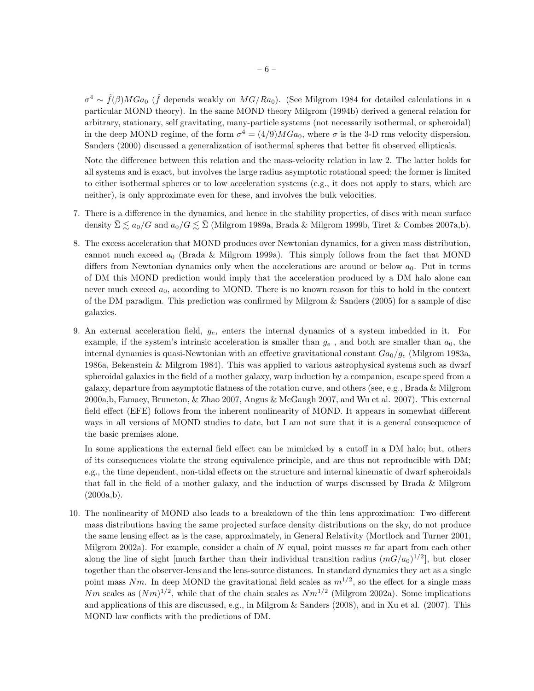$\sigma^4 \sim \hat{f}(\beta) M G a_0$  ( $\hat{f}$  depends weakly on  $MG/Ra_0$ ). (See Milgrom 1984 for detailed calculations in a particular MOND theory). In the same MOND theory Milgrom (1994b) derived a general relation for arbitrary, stationary, self gravitating, many-particle systems (not necessarily isothermal, or spheroidal) in the deep MOND regime, of the form  $\sigma^4 = (4/9)MG_{a_0}$ , where  $\sigma$  is the 3-D rms velocity dispersion. Sanders (2000) discussed a generalization of isothermal spheres that better fit observed ellipticals.

Note the difference between this relation and the mass-velocity relation in law 2. The latter holds for all systems and is exact, but involves the large radius asymptotic rotational speed; the former is limited to either isothermal spheres or to low acceleration systems (e.g., it does not apply to stars, which are neither), is only approximate even for these, and involves the bulk velocities.

- 7. There is a difference in the dynamics, and hence in the stability properties, of discs with mean surface density  $\bar{\Sigma} \lesssim a_0/G$  and  $a_0/G \lesssim \bar{\Sigma}$  (Milgrom 1989a, Brada & Milgrom 1999b, Tiret & Combes 2007a,b).
- 8. The excess acceleration that MOND produces over Newtonian dynamics, for a given mass distribution, cannot much exceed  $a_0$  (Brada & Milgrom 1999a). This simply follows from the fact that MOND differs from Newtonian dynamics only when the accelerations are around or below  $a_0$ . Put in terms of DM this MOND prediction would imply that the acceleration produced by a DM halo alone can never much exceed  $a_0$ , according to MOND. There is no known reason for this to hold in the context of the DM paradigm. This prediction was confirmed by Milgrom  $\&$  Sanders (2005) for a sample of disc galaxies.
- 9. An external acceleration field,  $g_e$ , enters the internal dynamics of a system imbedded in it. For example, if the system's intrinsic acceleration is smaller than  $g_e$  , and both are smaller than  $a_0$ , the internal dynamics is quasi-Newtonian with an effective gravitational constant  $Ga_0/g_e$  (Milgrom 1983a, 1986a, Bekenstein & Milgrom 1984). This was applied to various astrophysical systems such as dwarf spheroidal galaxies in the field of a mother galaxy, warp induction by a companion, escape speed from a galaxy, departure from asymptotic flatness of the rotation curve, and others (see, e.g., Brada & Milgrom 2000a,b, Famaey, Bruneton, & Zhao 2007, Angus & McGaugh 2007, and Wu et al. 2007). This external field effect (EFE) follows from the inherent nonlinearity of MOND. It appears in somewhat different ways in all versions of MOND studies to date, but I am not sure that it is a general consequence of the basic premises alone.

In some applications the external field effect can be mimicked by a cutoff in a DM halo; but, others of its consequences violate the strong equivalence principle, and are thus not reproducible with DM; e.g., the time dependent, non-tidal effects on the structure and internal kinematic of dwarf spheroidals that fall in the field of a mother galaxy, and the induction of warps discussed by Brada & Milgrom  $(2000a,b).$ 

10. The nonlinearity of MOND also leads to a breakdown of the thin lens approximation: Two different mass distributions having the same projected surface density distributions on the sky, do not produce the same lensing effect as is the case, approximately, in General Relativity (Mortlock and Turner 2001, Milgrom 2002a). For example, consider a chain of  $N$  equal, point masses  $m$  far apart from each other along the line of sight [much farther than their individual transition radius  $(mG/a_0)^{1/2}$ ], but closer together than the observer-lens and the lens-source distances. In standard dynamics they act as a single point mass Nm. In deep MOND the gravitational field scales as  $m^{1/2}$ , so the effect for a single mass Nm scales as  $(Nm)^{1/2}$ , while that of the chain scales as  $Nm^{1/2}$  (Milgrom 2002a). Some implications and applications of this are discussed, e.g., in Milgrom & Sanders (2008), and in Xu et al. (2007). This MOND law conflicts with the predictions of DM.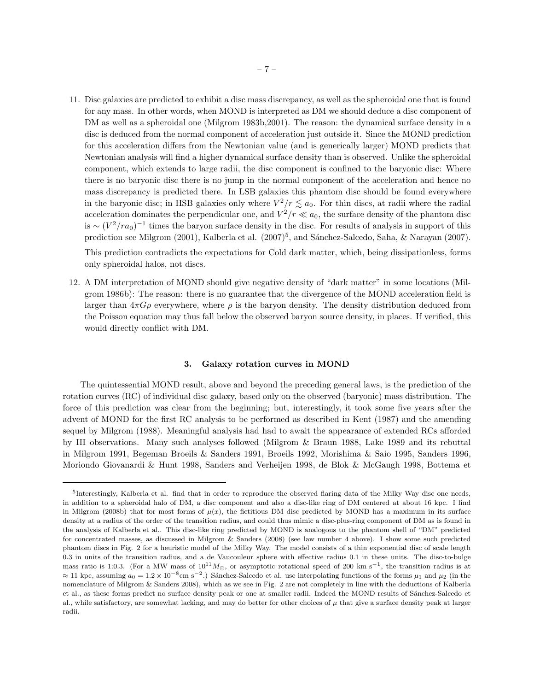11. Disc galaxies are predicted to exhibit a disc mass discrepancy, as well as the spheroidal one that is found for any mass. In other words, when MOND is interpreted as DM we should deduce a disc component of DM as well as a spheroidal one (Milgrom 1983b,2001). The reason: the dynamical surface density in a disc is deduced from the normal component of acceleration just outside it. Since the MOND prediction for this acceleration differs from the Newtonian value (and is generically larger) MOND predicts that Newtonian analysis will find a higher dynamical surface density than is observed. Unlike the spheroidal component, which extends to large radii, the disc component is confined to the baryonic disc: Where there is no baryonic disc there is no jump in the normal component of the acceleration and hence no mass discrepancy is predicted there. In LSB galaxies this phantom disc should be found everywhere in the baryonic disc; in HSB galaxies only where  $V^2/r \lesssim a_0$ . For thin discs, at radii where the radial acceleration dominates the perpendicular one, and  $V^2/r \ll a_0$ , the surface density of the phantom disc is ~  $(V^2/ra_0)^{-1}$  times the baryon surface density in the disc. For results of analysis in support of this prediction see Milgrom (2001), Kalberla et al. (2007)<sup>5</sup>, and Sánchez-Salcedo, Saha, & Narayan (2007).

This prediction contradicts the expectations for Cold dark matter, which, being dissipationless, forms only spheroidal halos, not discs.

12. A DM interpretation of MOND should give negative density of "dark matter" in some locations (Milgrom 1986b): The reason: there is no guarantee that the divergence of the MOND acceleration field is larger than  $4\pi G\rho$  everywhere, where  $\rho$  is the baryon density. The density distribution deduced from the Poisson equation may thus fall below the observed baryon source density, in places. If verified, this would directly conflict with DM.

### 3. Galaxy rotation curves in MOND

The quintessential MOND result, above and beyond the preceding general laws, is the prediction of the rotation curves (RC) of individual disc galaxy, based only on the observed (baryonic) mass distribution. The force of this prediction was clear from the beginning; but, interestingly, it took some five years after the advent of MOND for the first RC analysis to be performed as described in Kent (1987) and the amending sequel by Milgrom (1988). Meaningful analysis had had to await the appearance of extended RCs afforded by HI observations. Many such analyses followed (Milgrom & Braun 1988, Lake 1989 and its rebuttal in Milgrom 1991, Begeman Broeils & Sanders 1991, Broeils 1992, Morishima & Saio 1995, Sanders 1996, Moriondo Giovanardi & Hunt 1998, Sanders and Verheijen 1998, de Blok & McGaugh 1998, Bottema et

<sup>5</sup> Interestingly, Kalberla et al. find that in order to reproduce the observed flaring data of the Milky Way disc one needs, in addition to a spheroidal halo of DM, a disc component and also a disc-like ring of DM centered at about 16 kpc. I find in Milgrom (2008b) that for most forms of  $\mu(x)$ , the fictitious DM disc predicted by MOND has a maximum in its surface density at a radius of the order of the transition radius, and could thus mimic a disc-plus-ring component of DM as is found in the analysis of Kalberla et al.. This disc-like ring predicted by MOND is analogous to the phantom shell of "DM" predicted for concentrated masses, as discussed in Milgrom & Sanders (2008) (see law number 4 above). I show some such predicted phantom discs in Fig. 2 for a heuristic model of the Milky Way. The model consists of a thin exponential disc of scale length 0.3 in units of the transition radius, and a de Vaucouleur sphere with effective radius 0.1 in these units. The disc-to-bulge mass ratio is 1:0.3. (For a MW mass of  $10^{11} M_{\odot}$ , or asymptotic rotational speed of 200 km s<sup>-1</sup>, the transition radius is at  $\approx$  11 kpc, assuming  $a_0 = 1.2 \times 10^{-8}$ cm s<sup>-2</sup>.) Sánchez-Salcedo et al. use interpolating functions of the forms  $\mu_1$  and  $\mu_2$  (in the nomenclature of Milgrom & Sanders 2008), which as we see in Fig. 2 are not completely in line with the deductions of Kalberla et al., as these forms predict no surface density peak or one at smaller radii. Indeed the MOND results of Sánchez-Salcedo et al., while satisfactory, are somewhat lacking, and may do better for other choices of  $\mu$  that give a surface density peak at larger radii.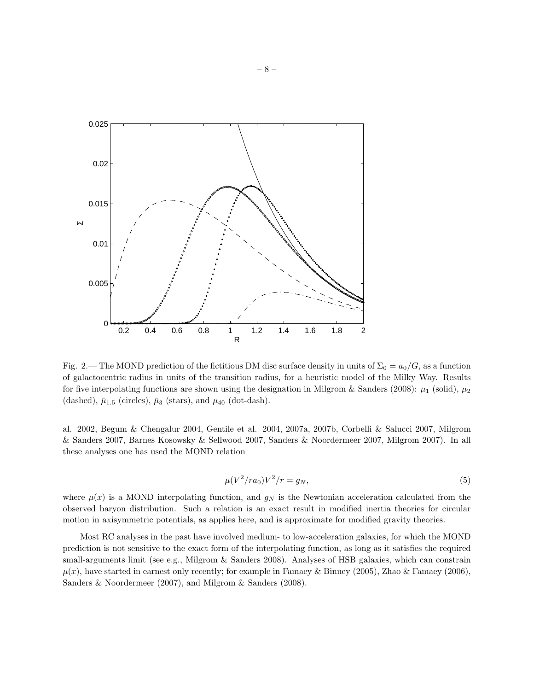

Fig. 2.— The MOND prediction of the fictitious DM disc surface density in units of  $\Sigma_0 = a_0/G$ , as a function of galactocentric radius in units of the transition radius, for a heuristic model of the Milky Way. Results for five interpolating functions are shown using the designation in Milgrom & Sanders (2008):  $\mu_1$  (solid),  $\mu_2$ (dashed),  $\bar{\mu}_{1.5}$  (circles),  $\bar{\mu}_3$  (stars), and  $\mu_{40}$  (dot-dash).

al. 2002, Begum & Chengalur 2004, Gentile et al. 2004, 2007a, 2007b, Corbelli & Salucci 2007, Milgrom & Sanders 2007, Barnes Kosowsky & Sellwood 2007, Sanders & Noordermeer 2007, Milgrom 2007). In all these analyses one has used the MOND relation

$$
\mu(V^2/r a_0) V^2/r = g_N,\t\t(5)
$$

where  $\mu(x)$  is a MOND interpolating function, and  $g_N$  is the Newtonian acceleration calculated from the observed baryon distribution. Such a relation is an exact result in modified inertia theories for circular motion in axisymmetric potentials, as applies here, and is approximate for modified gravity theories.

Most RC analyses in the past have involved medium- to low-acceleration galaxies, for which the MOND prediction is not sensitive to the exact form of the interpolating function, as long as it satisfies the required small-arguments limit (see e.g., Milgrom & Sanders 2008). Analyses of HSB galaxies, which can constrain  $\mu(x)$ , have started in earnest only recently; for example in Famaey & Binney (2005), Zhao & Famaey (2006), Sanders & Noordermeer (2007), and Milgrom & Sanders (2008).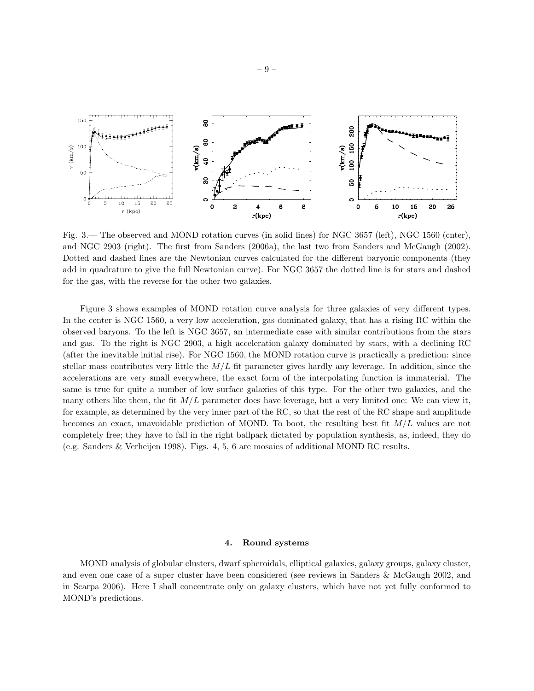

Fig. 3.— The observed and MOND rotation curves (in solid lines) for NGC 3657 (left), NGC 1560 (cnter), and NGC 2903 (right). The first from Sanders (2006a), the last two from Sanders and McGaugh (2002). Dotted and dashed lines are the Newtonian curves calculated for the different baryonic components (they add in quadrature to give the full Newtonian curve). For NGC 3657 the dotted line is for stars and dashed for the gas, with the reverse for the other two galaxies.

Figure 3 shows examples of MOND rotation curve analysis for three galaxies of very different types. In the center is NGC 1560, a very low acceleration, gas dominated galaxy, that has a rising RC within the observed baryons. To the left is NGC 3657, an intermediate case with similar contributions from the stars and gas. To the right is NGC 2903, a high acceleration galaxy dominated by stars, with a declining RC (after the inevitable initial rise). For NGC 1560, the MOND rotation curve is practically a prediction: since stellar mass contributes very little the  $M/L$  fit parameter gives hardly any leverage. In addition, since the accelerations are very small everywhere, the exact form of the interpolating function is immaterial. The same is true for quite a number of low surface galaxies of this type. For the other two galaxies, and the many others like them, the fit  $M/L$  parameter does have leverage, but a very limited one: We can view it, for example, as determined by the very inner part of the RC, so that the rest of the RC shape and amplitude becomes an exact, unavoidable prediction of MOND. To boot, the resulting best fit M/L values are not completely free; they have to fall in the right ballpark dictated by population synthesis, as, indeed, they do (e.g. Sanders & Verheijen 1998). Figs. 4, 5, 6 are mosaics of additional MOND RC results.

#### 4. Round systems

MOND analysis of globular clusters, dwarf spheroidals, elliptical galaxies, galaxy groups, galaxy cluster, and even one case of a super cluster have been considered (see reviews in Sanders & McGaugh 2002, and in Scarpa 2006). Here I shall concentrate only on galaxy clusters, which have not yet fully conformed to MOND's predictions.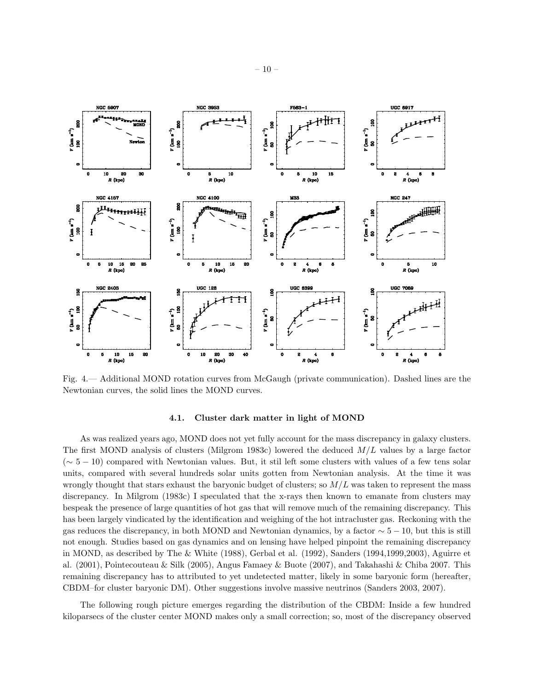

Fig. 4.— Additional MOND rotation curves from McGaugh (private communication). Dashed lines are the Newtonian curves, the solid lines the MOND curves.

# 4.1. Cluster dark matter in light of MOND

As was realized years ago, MOND does not yet fully account for the mass discrepancy in galaxy clusters. The first MOND analysis of clusters (Milgrom 1983c) lowered the deduced  $M/L$  values by a large factor (∼ 5 − 10) compared with Newtonian values. But, it stil left some clusters with values of a few tens solar units, compared with several hundreds solar units gotten from Newtonian analysis. At the time it was wrongly thought that stars exhaust the baryonic budget of clusters; so  $M/L$  was taken to represent the mass discrepancy. In Milgrom (1983c) I speculated that the x-rays then known to emanate from clusters may bespeak the presence of large quantities of hot gas that will remove much of the remaining discrepancy. This has been largely vindicated by the identification and weighing of the hot intracluster gas. Reckoning with the gas reduces the discrepancy, in both MOND and Newtonian dynamics, by a factor  $\sim$  5 − 10, but this is still not enough. Studies based on gas dynamics and on lensing have helped pinpoint the remaining discrepancy in MOND, as described by The & White (1988), Gerbal et al. (1992), Sanders (1994,1999,2003), Aguirre et al. (2001), Pointecouteau & Silk (2005), Angus Famaey & Buote (2007), and Takahashi & Chiba 2007. This remaining discrepancy has to attributed to yet undetected matter, likely in some baryonic form (hereafter, CBDM–for cluster baryonic DM). Other suggestions involve massive neutrinos (Sanders 2003, 2007).

The following rough picture emerges regarding the distribution of the CBDM: Inside a few hundred kiloparsecs of the cluster center MOND makes only a small correction; so, most of the discrepancy observed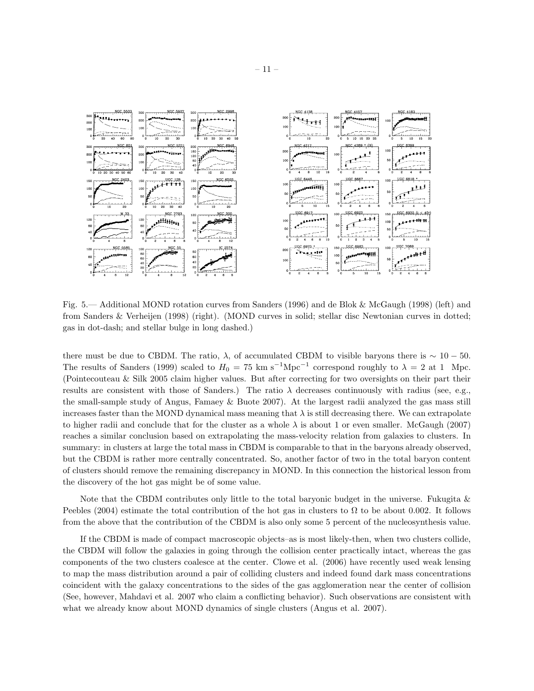

Fig. 5.— Additional MOND rotation curves from Sanders (1996) and de Blok & McGaugh (1998) (left) and from Sanders & Verheijen (1998) (right). (MOND curves in solid; stellar disc Newtonian curves in dotted; gas in dot-dash; and stellar bulge in long dashed.)

there must be due to CBDM. The ratio,  $\lambda$ , of accumulated CBDM to visible baryons there is  $\sim 10 - 50$ . The results of Sanders (1999) scaled to  $H_0 = 75 \text{ km s}^{-1}\text{Mpc}^{-1}$  correspond roughly to  $\lambda = 2$  at 1 Mpc. (Pointecouteau & Silk 2005 claim higher values. But after correcting for two oversights on their part their results are consistent with those of Sanders.) The ratio  $\lambda$  decreases continuously with radius (see, e.g., the small-sample study of Angus, Famaey & Buote 2007). At the largest radii analyzed the gas mass still increases faster than the MOND dynamical mass meaning that  $\lambda$  is still decreasing there. We can extrapolate to higher radii and conclude that for the cluster as a whole  $\lambda$  is about 1 or even smaller. McGaugh (2007) reaches a similar conclusion based on extrapolating the mass-velocity relation from galaxies to clusters. In summary: in clusters at large the total mass in CBDM is comparable to that in the baryons already observed, but the CBDM is rather more centrally concentrated. So, another factor of two in the total baryon content of clusters should remove the remaining discrepancy in MOND. In this connection the historical lesson from the discovery of the hot gas might be of some value.

Note that the CBDM contributes only little to the total baryonic budget in the universe. Fukugita & Peebles (2004) estimate the total contribution of the hot gas in clusters to  $\Omega$  to be about 0.002. It follows from the above that the contribution of the CBDM is also only some 5 percent of the nucleosynthesis value.

If the CBDM is made of compact macroscopic objects–as is most likely-then, when two clusters collide, the CBDM will follow the galaxies in going through the collision center practically intact, whereas the gas components of the two clusters coalesce at the center. Clowe et al. (2006) have recently used weak lensing to map the mass distribution around a pair of colliding clusters and indeed found dark mass concentrations coincident with the galaxy concentrations to the sides of the gas agglomeration near the center of collision (See, however, Mahdavi et al. 2007 who claim a conflicting behavior). Such observations are consistent with what we already know about MOND dynamics of single clusters (Angus et al. 2007).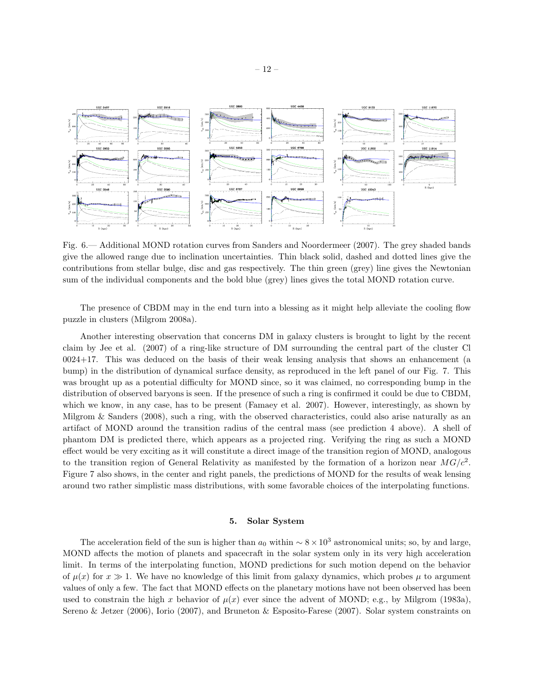

Fig. 6.— Additional MOND rotation curves from Sanders and Noordermeer (2007). The grey shaded bands give the allowed range due to inclination uncertainties. Thin black solid, dashed and dotted lines give the contributions from stellar bulge, disc and gas respectively. The thin green (grey) line gives the Newtonian sum of the individual components and the bold blue (grey) lines gives the total MOND rotation curve.

The presence of CBDM may in the end turn into a blessing as it might help alleviate the cooling flow puzzle in clusters (Milgrom 2008a).

Another interesting observation that concerns DM in galaxy clusters is brought to light by the recent claim by Jee et al. (2007) of a ring-like structure of DM surrounding the central part of the cluster Cl 0024+17. This was deduced on the basis of their weak lensing analysis that shows an enhancement (a bump) in the distribution of dynamical surface density, as reproduced in the left panel of our Fig. 7. This was brought up as a potential difficulty for MOND since, so it was claimed, no corresponding bump in the distribution of observed baryons is seen. If the presence of such a ring is confirmed it could be due to CBDM, which we know, in any case, has to be present (Famaey et al. 2007). However, interestingly, as shown by Milgrom & Sanders (2008), such a ring, with the observed characteristics, could also arise naturally as an artifact of MOND around the transition radius of the central mass (see prediction 4 above). A shell of phantom DM is predicted there, which appears as a projected ring. Verifying the ring as such a MOND effect would be very exciting as it will constitute a direct image of the transition region of MOND, analogous to the transition region of General Relativity as manifested by the formation of a horizon near  $MG/c^2$ . Figure 7 also shows, in the center and right panels, the predictions of MOND for the results of weak lensing around two rather simplistic mass distributions, with some favorable choices of the interpolating functions.

### 5. Solar System

The acceleration field of the sun is higher than  $a_0$  within  $\sim 8 \times 10^3$  astronomical units; so, by and large, MOND affects the motion of planets and spacecraft in the solar system only in its very high acceleration limit. In terms of the interpolating function, MOND predictions for such motion depend on the behavior of  $\mu(x)$  for  $x \gg 1$ . We have no knowledge of this limit from galaxy dynamics, which probes  $\mu$  to argument values of only a few. The fact that MOND effects on the planetary motions have not been observed has been used to constrain the high x behavior of  $\mu(x)$  ever since the advent of MOND; e.g., by Milgrom (1983a), Sereno & Jetzer (2006), Iorio (2007), and Bruneton & Esposito-Farese (2007). Solar system constraints on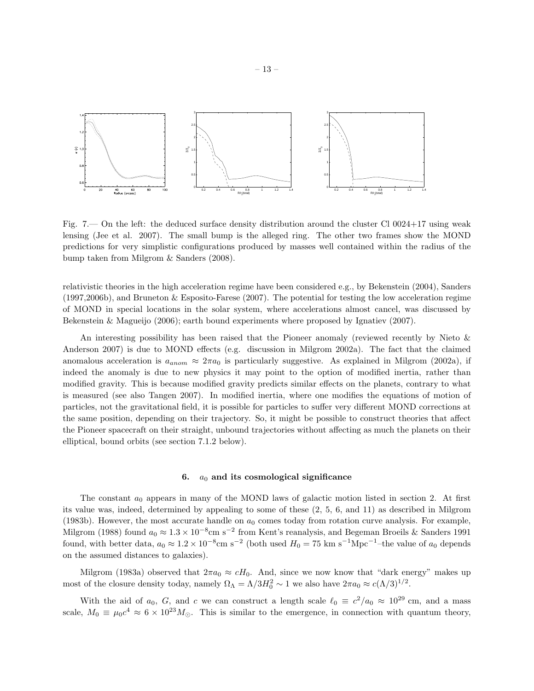

Fig. 7.— On the left: the deduced surface density distribution around the cluster Cl 0024+17 using weak lensing (Jee et al. 2007). The small bump is the alleged ring. The other two frames show the MOND predictions for very simplistic configurations produced by masses well contained within the radius of the bump taken from Milgrom & Sanders (2008).

relativistic theories in the high acceleration regime have been considered e.g., by Bekenstein (2004), Sanders (1997,2006b), and Bruneton & Esposito-Farese (2007). The potential for testing the low acceleration regime of MOND in special locations in the solar system, where accelerations almost cancel, was discussed by Bekenstein & Magueijo (2006); earth bound experiments where proposed by Ignatiev (2007).

An interesting possibility has been raised that the Pioneer anomaly (reviewed recently by Nieto & Anderson 2007) is due to MOND effects (e.g. discussion in Milgrom 2002a). The fact that the claimed anomalous acceleration is  $a_{anom} \approx 2\pi a_0$  is particularly suggestive. As explained in Milgrom (2002a), if indeed the anomaly is due to new physics it may point to the option of modified inertia, rather than modified gravity. This is because modified gravity predicts similar effects on the planets, contrary to what is measured (see also Tangen 2007). In modified inertia, where one modifies the equations of motion of particles, not the gravitational field, it is possible for particles to suffer very different MOND corrections at the same position, depending on their trajectory. So, it might be possible to construct theories that affect the Pioneer spacecraft on their straight, unbound trajectories without affecting as much the planets on their elliptical, bound orbits (see section 7.1.2 below).

## 6.  $a_0$  and its cosmological significance

The constant  $a_0$  appears in many of the MOND laws of galactic motion listed in section 2. At first its value was, indeed, determined by appealing to some of these (2, 5, 6, and 11) as described in Milgrom (1983b). However, the most accurate handle on  $a_0$  comes today from rotation curve analysis. For example, Milgrom (1988) found  $a_0 \approx 1.3 \times 10^{-8}$ cm s<sup>-2</sup> from Kent's reanalysis, and Begeman Broeils & Sanders 1991 found, with better data,  $a_0 \approx 1.2 \times 10^{-8}$ cm s<sup>-2</sup> (both used  $H_0 = 75$  km s<sup>-1</sup>Mpc<sup>-1</sup>-the value of  $a_0$  depends on the assumed distances to galaxies).

Milgrom (1983a) observed that  $2\pi a_0 \approx cH_0$ . And, since we now know that "dark energy" makes up most of the closure density today, namely  $\Omega_{\Lambda} = \Lambda/3H_0^2 \sim 1$  we also have  $2\pi a_0 \approx c(\Lambda/3)^{1/2}$ .

With the aid of  $a_0$ , G, and c we can construct a length scale  $\ell_0 \equiv c^2/a_0 \approx 10^{29}$  cm, and a mass scale,  $M_0 \equiv \mu_0 c^4 \approx 6 \times 10^{23} M_{\odot}$ . This is similar to the emergence, in connection with quantum theory,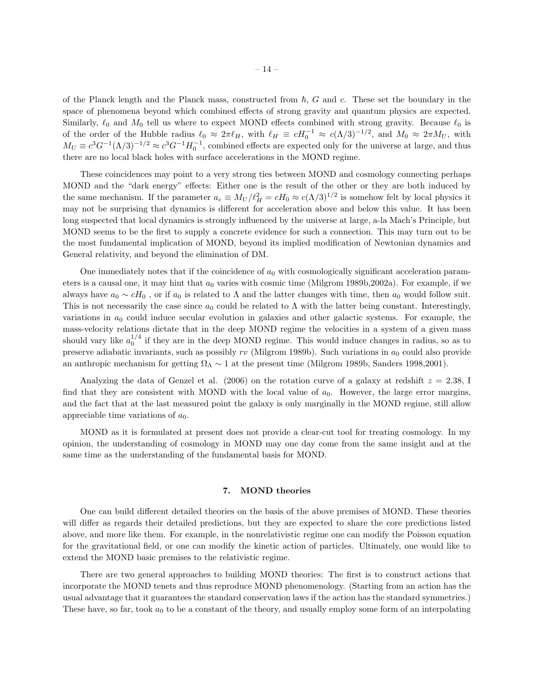of the Planck length and the Planck mass, constructed from  $\hbar$ , G and c. These set the boundary in the space of phenomena beyond which combined effects of strong gravity and quantum physics are expected. Similarly,  $\ell_0$  and  $M_0$  tell us where to expect MOND effects combined with strong gravity. Because  $\ell_0$  is of the order of the Hubble radius  $\ell_0 \approx 2\pi \ell_H$ , with  $\ell_H \equiv cH_0^{-1} \approx c(\Lambda/3)^{-1/2}$ , and  $M_0 \approx 2\pi M_U$ , with  $M_U \equiv c^3 G^{-1} (\Lambda/3)^{-1/2} \approx c^3 G^{-1} H_0^{-1}$ , combined effects are expected only for the universe at large, and thus there are no local black holes with surface accelerations in the MOND regime.

These coincidences may point to a very strong ties between MOND and cosmology connecting perhaps MOND and the "dark energy" effects: Either one is the result of the other or they are both induced by the same mechanism. If the parameter  $a_c \equiv M_U/\ell_H^2 = cH_0 \approx c(\Lambda/3)^{1/2}$  is somehow felt by local physics it may not be surprising that dynamics is different for acceleration above and below this value. It has been long suspected that local dynamics is strongly influenced by the universe at large, a-la Mach's Principle, but MOND seems to be the first to supply a concrete evidence for such a connection. This may turn out to be the most fundamental implication of MOND, beyond its implied modification of Newtonian dynamics and General relativity, and beyond the elimination of DM.

One immediately notes that if the coincidence of  $a_0$  with cosmologically significant acceleration parameters is a causal one, it may hint that  $a_0$  varies with cosmic time (Milgrom 1989b, 2002a). For example, if we always have  $a_0 \sim cH_0$ , or if  $a_0$  is related to  $\Lambda$  and the latter changes with time, then  $a_0$  would follow suit. This is not necessarily the case since  $a_0$  could be related to  $\Lambda$  with the latter being constant. Interestingly, variations in  $a_0$  could induce secular evolution in galaxies and other galactic systems. For example, the mass-velocity relations dictate that in the deep MOND regime the velocities in a system of a given mass should vary like  $a_0^{1/4}$  if they are in the deep MOND regime. This would induce changes in radius, so as to preserve adiabatic invariants, such as possibly rv (Milgrom 1989b). Such variations in  $a_0$  could also provide an anthropic mechanism for getting  $\Omega_{\Lambda} \sim 1$  at the present time (Milgrom 1989b, Sanders 1998,2001).

Analyzing the data of Genzel et al. (2006) on the rotation curve of a galaxy at redshift  $z = 2.38$ , I find that they are consistent with MOND with the local value of  $a_0$ . However, the large error margins, and the fact that at the last measured point the galaxy is only marginally in the MOND regime, still allow appreciable time variations of  $a_0$ .

MOND as it is formulated at present does not provide a clear-cut tool for treating cosmology. In my opinion, the understanding of cosmology in MOND may one day come from the same insight and at the same time as the understanding of the fundamental basis for MOND.

## 7. MOND theories

One can build different detailed theories on the basis of the above premises of MOND. These theories will differ as regards their detailed predictions, but they are expected to share the core predictions listed above, and more like them. For example, in the nonrelativistic regime one can modify the Poisson equation for the gravitational field, or one can modify the kinetic action of particles. Ultimately, one would like to extend the MOND basic premises to the relativistic regime.

There are two general approaches to building MOND theories: The first is to construct actions that incorporate the MOND tenets and thus reproduce MOND phenomenology. (Starting from an action has the usual advantage that it guarantees the standard conservation laws if the action has the standard symmetries.) These have, so far, took  $a_0$  to be a constant of the theory, and usually employ some form of an interpolating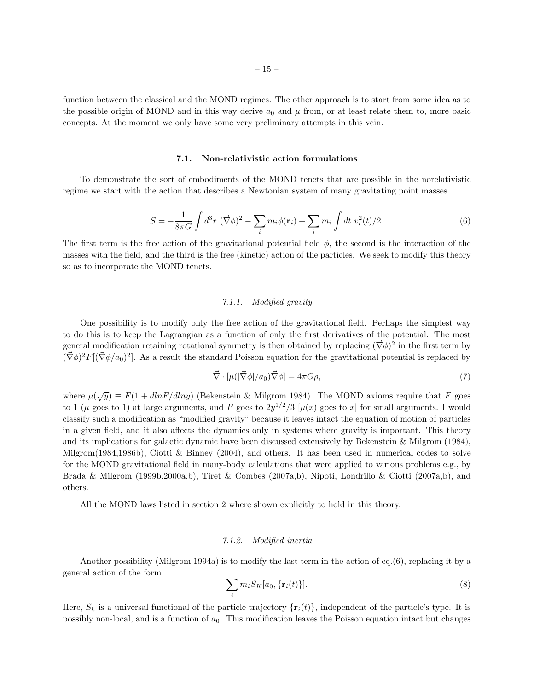function between the classical and the MOND regimes. The other approach is to start from some idea as to the possible origin of MOND and in this way derive  $a_0$  and  $\mu$  from, or at least relate them to, more basic concepts. At the moment we only have some very preliminary attempts in this vein.

## 7.1. Non-relativistic action formulations

To demonstrate the sort of embodiments of the MOND tenets that are possible in the norelativistic regime we start with the action that describes a Newtonian system of many gravitating point masses

$$
S = -\frac{1}{8\pi G} \int d^3 r \, (\vec{\nabla}\phi)^2 - \sum_i m_i \phi(\mathbf{r}_i) + \sum_i m_i \int dt \, v_i^2(t)/2. \tag{6}
$$

The first term is the free action of the gravitational potential field  $\phi$ , the second is the interaction of the masses with the field, and the third is the free (kinetic) action of the particles. We seek to modify this theory so as to incorporate the MOND tenets.

# 7.1.1. Modified gravity

One possibility is to modify only the free action of the gravitational field. Perhaps the simplest way to do this is to keep the Lagrangian as a function of only the first derivatives of the potential. The most general modification retaining rotational symmetry is then obtained by replacing  $(\vec{\nabla}\phi)^2$  in the first term by  $(\vec{\nabla}\phi)^2 F[(\vec{\nabla}\phi/a_0)^2]$ . As a result the standard Poisson equation for the gravitational potential is replaced by

$$
\vec{\nabla} \cdot [\mu(|\vec{\nabla}\phi|/a_0)\vec{\nabla}\phi] = 4\pi G\rho,\tag{7}
$$

where  $\mu(\sqrt{y}) \equiv F(1 + dlnF/dlny)$  (Bekenstein & Milgrom 1984). The MOND axioms require that F goes to 1 ( $\mu$  goes to 1) at large arguments, and F goes to  $2y^{1/2}/3$  [ $\mu(x)$  goes to x] for small arguments. I would classify such a modification as "modified gravity" because it leaves intact the equation of motion of particles in a given field, and it also affects the dynamics only in systems where gravity is important. This theory and its implications for galactic dynamic have been discussed extensively by Bekenstein & Milgrom (1984), Milgrom(1984,1986b), Ciotti & Binney (2004), and others. It has been used in numerical codes to solve for the MOND gravitational field in many-body calculations that were applied to various problems e.g., by Brada & Milgrom (1999b,2000a,b), Tiret & Combes (2007a,b), Nipoti, Londrillo & Ciotti (2007a,b), and others.

All the MOND laws listed in section 2 where shown explicitly to hold in this theory.

### 7.1.2. Modified inertia

Another possibility (Milgrom 1994a) is to modify the last term in the action of eq.(6), replacing it by a general action of the form

$$
\sum_{i} m_i S_K[a_0, \{ \mathbf{r}_i(t) \}]. \tag{8}
$$

Here,  $S_k$  is a universal functional of the particle trajectory  $\{r_i(t)\}\$ , independent of the particle's type. It is possibly non-local, and is a function of  $a_0$ . This modification leaves the Poisson equation intact but changes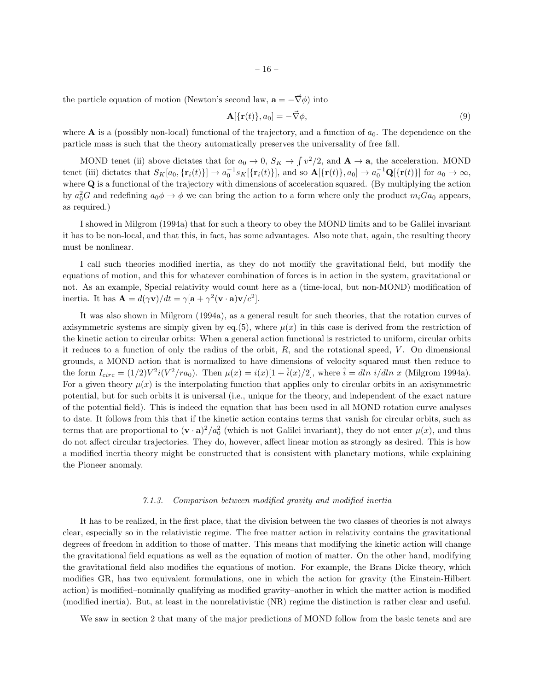the particle equation of motion (Newton's second law,  $\mathbf{a} = -\vec{\nabla}\phi$ ) into

$$
\mathbf{A}[\{\mathbf{r}(t)\},a_0] = -\vec{\nabla}\phi,\tag{9}
$$

where  $\bf{A}$  is a (possibly non-local) functional of the trajectory, and a function of  $a_0$ . The dependence on the particle mass is such that the theory automatically preserves the universality of free fall.

MOND tenet (ii) above dictates that for  $a_0 \to 0$ ,  $S_K \to \int v^2/2$ , and  $\mathbf{A} \to \mathbf{a}$ , the acceleration. MOND tenet (iii) dictates that  $S_K[a_0, {\mathbf{r}_i(t)}] \to a_0^{-1} s_K[{\mathbf{r}_i(t)}]$ , and so  $\mathbf{A}[\{\mathbf{r}(t)\}, a_0] \to a_0^{-1} \mathbf{Q}[\{\mathbf{r}(t)\}]$  for  $a_0 \to \infty$ , where Q is a functional of the trajectory with dimensions of acceleration squared. (By multiplying the action by  $a_0^2 G$  and redefining  $a_0 \phi \to \phi$  we can bring the action to a form where only the product  $m_i Ga_0$  appears, as required.)

I showed in Milgrom (1994a) that for such a theory to obey the MOND limits and to be Galilei invariant it has to be non-local, and that this, in fact, has some advantages. Also note that, again, the resulting theory must be nonlinear.

I call such theories modified inertia, as they do not modify the gravitational field, but modify the equations of motion, and this for whatever combination of forces is in action in the system, gravitational or not. As an example, Special relativity would count here as a (time-local, but non-MOND) modification of inertia. It has  $\mathbf{A} = d(\gamma \mathbf{v})/dt = \gamma [\mathbf{a} + \gamma^2 (\mathbf{v} \cdot \mathbf{a}) \mathbf{v}/c^2].$ 

It was also shown in Milgrom (1994a), as a general result for such theories, that the rotation curves of axisymmetric systems are simply given by eq.(5), where  $\mu(x)$  in this case is derived from the restriction of the kinetic action to circular orbits: When a general action functional is restricted to uniform, circular orbits it reduces to a function of only the radius of the orbit,  $R$ , and the rotational speed,  $V$ . On dimensional grounds, a MOND action that is normalized to have dimensions of velocity squared must then reduce to the form  $I_{circ} = (1/2)V^2i(V^2/ra_0)$ . Then  $\mu(x) = i(x)[1 + \hat{i}(x)/2]$ , where  $\hat{i} = dln i/dln x$  (Milgrom 1994a). For a given theory  $\mu(x)$  is the interpolating function that applies only to circular orbits in an axisymmetric potential, but for such orbits it is universal (i.e., unique for the theory, and independent of the exact nature of the potential field). This is indeed the equation that has been used in all MOND rotation curve analyses to date. It follows from this that if the kinetic action contains terms that vanish for circular orbits, such as terms that are proportional to  $(\mathbf{v} \cdot \mathbf{a})^2/a_0^2$  (which is not Galilei invariant), they do not enter  $\mu(x)$ , and thus do not affect circular trajectories. They do, however, affect linear motion as strongly as desired. This is how a modified inertia theory might be constructed that is consistent with planetary motions, while explaining the Pioneer anomaly.

#### 7.1.3. Comparison between modified gravity and modified inertia

It has to be realized, in the first place, that the division between the two classes of theories is not always clear, especially so in the relativistic regime. The free matter action in relativity contains the gravitational degrees of freedom in addition to those of matter. This means that modifying the kinetic action will change the gravitational field equations as well as the equation of motion of matter. On the other hand, modifying the gravitational field also modifies the equations of motion. For example, the Brans Dicke theory, which modifies GR, has two equivalent formulations, one in which the action for gravity (the Einstein-Hilbert action) is modified–nominally qualifying as modified gravity–another in which the matter action is modified (modified inertia). But, at least in the nonrelativistic (NR) regime the distinction is rather clear and useful.

We saw in section 2 that many of the major predictions of MOND follow from the basic tenets and are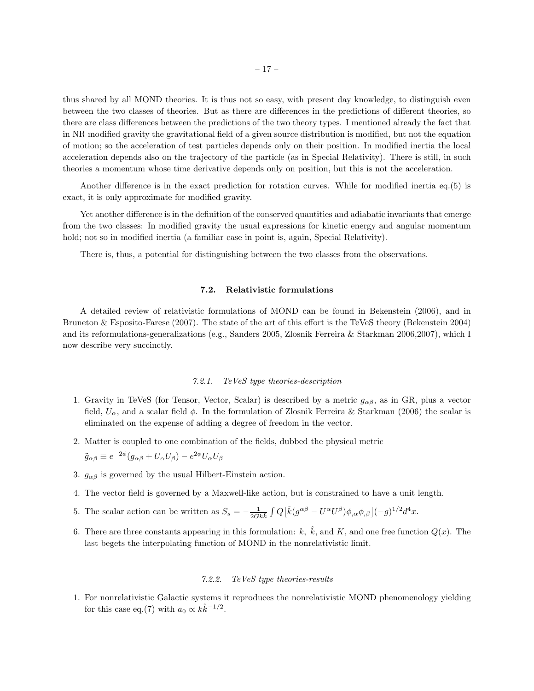thus shared by all MOND theories. It is thus not so easy, with present day knowledge, to distinguish even between the two classes of theories. But as there are differences in the predictions of different theories, so there are class differences between the predictions of the two theory types. I mentioned already the fact that in NR modified gravity the gravitational field of a given source distribution is modified, but not the equation of motion; so the acceleration of test particles depends only on their position. In modified inertia the local acceleration depends also on the trajectory of the particle (as in Special Relativity). There is still, in such theories a momentum whose time derivative depends only on position, but this is not the acceleration.

Another difference is in the exact prediction for rotation curves. While for modified inertia eq.(5) is exact, it is only approximate for modified gravity.

Yet another difference is in the definition of the conserved quantities and adiabatic invariants that emerge from the two classes: In modified gravity the usual expressions for kinetic energy and angular momentum hold; not so in modified inertia (a familiar case in point is, again, Special Relativity).

There is, thus, a potential for distinguishing between the two classes from the observations.

## 7.2. Relativistic formulations

A detailed review of relativistic formulations of MOND can be found in Bekenstein (2006), and in Bruneton & Esposito-Farese (2007). The state of the art of this effort is the TeVeS theory (Bekenstein 2004) and its reformulations-generalizations (e.g., Sanders 2005, Zlosnik Ferreira & Starkman 2006,2007), which I now describe very succinctly.

## 7.2.1. TeVeS type theories-description

- 1. Gravity in TeVeS (for Tensor, Vector, Scalar) is described by a metric  $g_{\alpha\beta}$ , as in GR, plus a vector field,  $U_{\alpha}$ , and a scalar field  $\phi$ . In the formulation of Zlosnik Ferreira & Starkman (2006) the scalar is eliminated on the expense of adding a degree of freedom in the vector.
- 2. Matter is coupled to one combination of the fields, dubbed the physical metric

$$
\tilde{g}_{\alpha\beta} \equiv e^{-2\phi} (g_{\alpha\beta} + U_{\alpha} U_{\beta}) - e^{2\phi} U_{\alpha} U_{\beta}
$$

- 3.  $g_{\alpha\beta}$  is governed by the usual Hilbert-Einstein action.
- 4. The vector field is governed by a Maxwell-like action, but is constrained to have a unit length.
- 5. The scalar action can be written as  $S_s = -\frac{1}{2Gk\hat{k}} \int Q[\hat{k}(g^{\alpha\beta} U^{\alpha}U^{\beta})\phi_{,\alpha}\phi_{,\beta}](-g)^{1/2}d^4x$ .
- 6. There are three constants appearing in this formulation: k,  $\hat{k}$ , and K, and one free function  $Q(x)$ . The last begets the interpolating function of MOND in the nonrelativistic limit.

## 7.2.2. TeVeS type theories-results

1. For nonrelativistic Galactic systems it reproduces the nonrelativistic MOND phenomenology yielding for this case eq.(7) with  $a_0 \propto k\hat{k}^{-1/2}$ .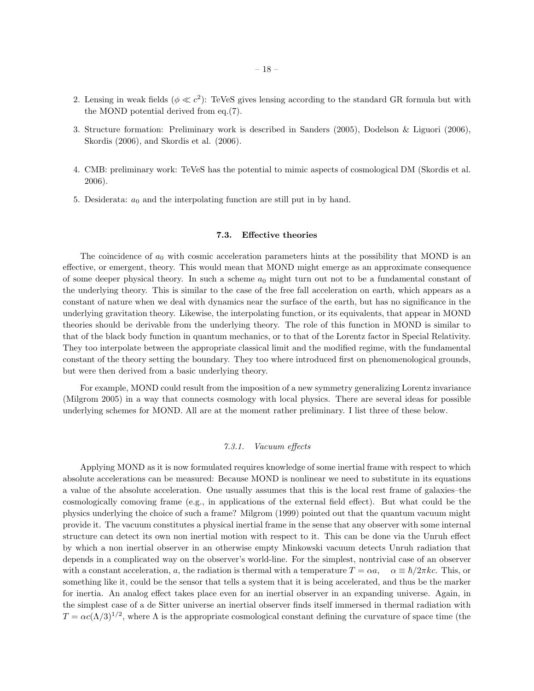- 2. Lensing in weak fields  $(\phi \ll c^2)$ : TeVeS gives lensing according to the standard GR formula but with the MOND potential derived from eq.(7).
- 3. Structure formation: Preliminary work is described in Sanders (2005), Dodelson & Liguori (2006), Skordis (2006), and Skordis et al. (2006).
- 4. CMB: preliminary work: TeVeS has the potential to mimic aspects of cosmological DM (Skordis et al. 2006).
- 5. Desiderata:  $a_0$  and the interpolating function are still put in by hand.

## 7.3. Effective theories

The coincidence of  $a_0$  with cosmic acceleration parameters hints at the possibility that MOND is an effective, or emergent, theory. This would mean that MOND might emerge as an approximate consequence of some deeper physical theory. In such a scheme  $a_0$  might turn out not to be a fundamental constant of the underlying theory. This is similar to the case of the free fall acceleration on earth, which appears as a constant of nature when we deal with dynamics near the surface of the earth, but has no significance in the underlying gravitation theory. Likewise, the interpolating function, or its equivalents, that appear in MOND theories should be derivable from the underlying theory. The role of this function in MOND is similar to that of the black body function in quantum mechanics, or to that of the Lorentz factor in Special Relativity. They too interpolate between the appropriate classical limit and the modified regime, with the fundamental constant of the theory setting the boundary. They too where introduced first on phenomenological grounds, but were then derived from a basic underlying theory.

For example, MOND could result from the imposition of a new symmetry generalizing Lorentz invariance (Milgrom 2005) in a way that connects cosmology with local physics. There are several ideas for possible underlying schemes for MOND. All are at the moment rather preliminary. I list three of these below.

## 7.3.1. Vacuum effects

Applying MOND as it is now formulated requires knowledge of some inertial frame with respect to which absolute accelerations can be measured: Because MOND is nonlinear we need to substitute in its equations a value of the absolute acceleration. One usually assumes that this is the local rest frame of galaxies–the cosmologically comoving frame (e.g., in applications of the external field effect). But what could be the physics underlying the choice of such a frame? Milgrom (1999) pointed out that the quantum vacuum might provide it. The vacuum constitutes a physical inertial frame in the sense that any observer with some internal structure can detect its own non inertial motion with respect to it. This can be done via the Unruh effect by which a non inertial observer in an otherwise empty Minkowski vacuum detects Unruh radiation that depends in a complicated way on the observer's world-line. For the simplest, nontrivial case of an observer with a constant acceleration, a, the radiation is thermal with a temperature  $T = \alpha a$ ,  $\alpha \equiv \hbar/2\pi kc$ . This, or something like it, could be the sensor that tells a system that it is being accelerated, and thus be the marker for inertia. An analog effect takes place even for an inertial observer in an expanding universe. Again, in the simplest case of a de Sitter universe an inertial observer finds itself immersed in thermal radiation with  $T = \alpha c (\Lambda/3)^{1/2}$ , where  $\Lambda$  is the appropriate cosmological constant defining the curvature of space time (the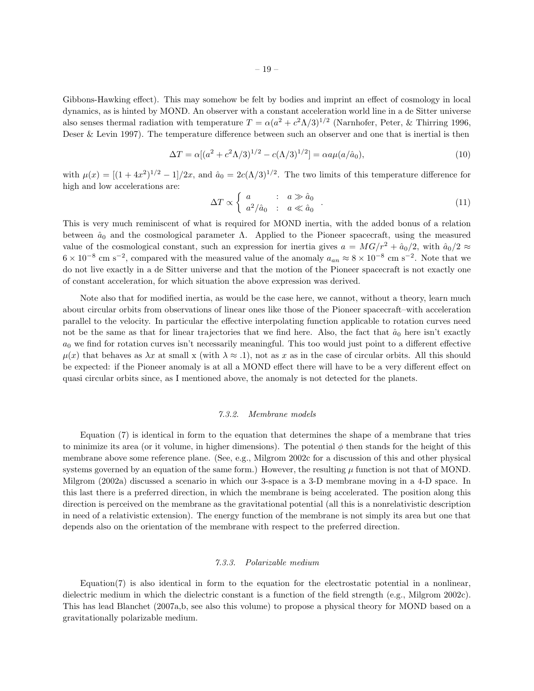Gibbons-Hawking effect). This may somehow be felt by bodies and imprint an effect of cosmology in local dynamics, as is hinted by MOND. An observer with a constant acceleration world line in a de Sitter universe also senses thermal radiation with temperature  $T = \alpha (a^2 + c^2 \Lambda/3)^{1/2}$  (Narnhofer, Peter, & Thirring 1996, Deser & Levin 1997). The temperature difference between such an observer and one that is inertial is then

$$
\Delta T = \alpha [(a^2 + c^2 \Lambda/3)^{1/2} - c(\Lambda/3)^{1/2}] = \alpha a \mu (a/\hat{a}_0), \tag{10}
$$

with  $\mu(x) = \left[ (1 + 4x^2)^{1/2} - 1 \right] / 2x$ , and  $\hat{a}_0 = 2c(\Lambda/3)^{1/2}$ . The two limits of this temperature difference for high and low accelerations are:

$$
\Delta T \propto \begin{cases} a & : a \gg \hat{a}_0 \\ a^2/\hat{a}_0 & : a \ll \hat{a}_0 \end{cases} \tag{11}
$$

This is very much reminiscent of what is required for MOND inertia, with the added bonus of a relation between  $\hat{a}_0$  and the cosmological parameter  $\Lambda$ . Applied to the Pioneer spacecraft, using the measured value of the cosmological constant, such an expression for inertia gives  $a = MG/r^2 + \hat{a}_0/2$ , with  $\hat{a}_0/2 \approx$  $6 \times 10^{-8}$  cm s<sup>-2</sup>, compared with the measured value of the anomaly  $a_{an} \approx 8 \times 10^{-8}$  cm s<sup>-2</sup>. Note that we do not live exactly in a de Sitter universe and that the motion of the Pioneer spacecraft is not exactly one of constant acceleration, for which situation the above expression was derived.

Note also that for modified inertia, as would be the case here, we cannot, without a theory, learn much about circular orbits from observations of linear ones like those of the Pioneer spacecraft–with acceleration parallel to the velocity. In particular the effective interpolating function applicable to rotation curves need not be the same as that for linear trajectories that we find here. Also, the fact that  $\hat{a}_0$  here isn't exactly  $a_0$  we find for rotation curves isn't necessarily meaningful. This too would just point to a different effective  $\mu(x)$  that behaves as  $\lambda x$  at small x (with  $\lambda \approx .1$ ), not as x as in the case of circular orbits. All this should be expected: if the Pioneer anomaly is at all a MOND effect there will have to be a very different effect on quasi circular orbits since, as I mentioned above, the anomaly is not detected for the planets.

#### 7.3.2. Membrane models

Equation (7) is identical in form to the equation that determines the shape of a membrane that tries to minimize its area (or it volume, in higher dimensions). The potential  $\phi$  then stands for the height of this membrane above some reference plane. (See, e.g., Milgrom 2002c for a discussion of this and other physical systems governed by an equation of the same form.) However, the resulting  $\mu$  function is not that of MOND. Milgrom (2002a) discussed a scenario in which our 3-space is a 3-D membrane moving in a 4-D space. In this last there is a preferred direction, in which the membrane is being accelerated. The position along this direction is perceived on the membrane as the gravitational potential (all this is a nonrelativistic description in need of a relativistic extension). The energy function of the membrane is not simply its area but one that depends also on the orientation of the membrane with respect to the preferred direction.

### 7.3.3. Polarizable medium

Equation(7) is also identical in form to the equation for the electrostatic potential in a nonlinear, dielectric medium in which the dielectric constant is a function of the field strength (e.g., Milgrom 2002c). This has lead Blanchet (2007a,b, see also this volume) to propose a physical theory for MOND based on a gravitationally polarizable medium.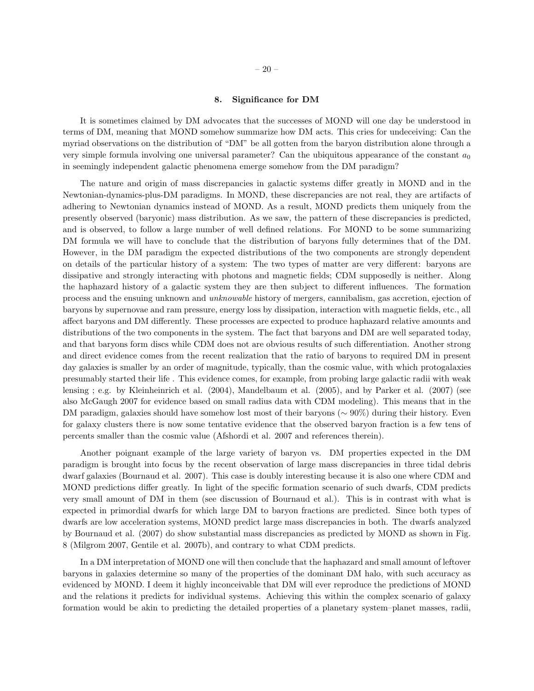## 8. Significance for DM

It is sometimes claimed by DM advocates that the successes of MOND will one day be understood in terms of DM, meaning that MOND somehow summarize how DM acts. This cries for undeceiving: Can the myriad observations on the distribution of "DM" be all gotten from the baryon distribution alone through a very simple formula involving one universal parameter? Can the ubiquitous appearance of the constant  $a_0$ in seemingly independent galactic phenomena emerge somehow from the DM paradigm?

The nature and origin of mass discrepancies in galactic systems differ greatly in MOND and in the Newtonian-dynamics-plus-DM paradigms. In MOND, these discrepancies are not real, they are artifacts of adhering to Newtonian dynamics instead of MOND. As a result, MOND predicts them uniquely from the presently observed (baryonic) mass distribution. As we saw, the pattern of these discrepancies is predicted, and is observed, to follow a large number of well defined relations. For MOND to be some summarizing DM formula we will have to conclude that the distribution of baryons fully determines that of the DM. However, in the DM paradigm the expected distributions of the two components are strongly dependent on details of the particular history of a system: The two types of matter are very different: baryons are dissipative and strongly interacting with photons and magnetic fields; CDM supposedly is neither. Along the haphazard history of a galactic system they are then subject to different influences. The formation process and the ensuing unknown and unknowable history of mergers, cannibalism, gas accretion, ejection of baryons by supernovae and ram pressure, energy loss by dissipation, interaction with magnetic fields, etc., all affect baryons and DM differently. These processes are expected to produce haphazard relative amounts and distributions of the two components in the system. The fact that baryons and DM are well separated today, and that baryons form discs while CDM does not are obvious results of such differentiation. Another strong and direct evidence comes from the recent realization that the ratio of baryons to required DM in present day galaxies is smaller by an order of magnitude, typically, than the cosmic value, with which protogalaxies presumably started their life . This evidence comes, for example, from probing large galactic radii with weak lensing ; e.g. by Kleinheinrich et al. (2004), Mandelbaum et al. (2005), and by Parker et al. (2007) (see also McGaugh 2007 for evidence based on small radius data with CDM modeling). This means that in the DM paradigm, galaxies should have somehow lost most of their baryons (∼ 90%) during their history. Even for galaxy clusters there is now some tentative evidence that the observed baryon fraction is a few tens of percents smaller than the cosmic value (Afshordi et al. 2007 and references therein).

Another poignant example of the large variety of baryon vs. DM properties expected in the DM paradigm is brought into focus by the recent observation of large mass discrepancies in three tidal debris dwarf galaxies (Bournaud et al. 2007). This case is doubly interesting because it is also one where CDM and MOND predictions differ greatly. In light of the specific formation scenario of such dwarfs, CDM predicts very small amount of DM in them (see discussion of Bournaud et al.). This is in contrast with what is expected in primordial dwarfs for which large DM to baryon fractions are predicted. Since both types of dwarfs are low acceleration systems, MOND predict large mass discrepancies in both. The dwarfs analyzed by Bournaud et al. (2007) do show substantial mass discrepancies as predicted by MOND as shown in Fig. 8 (Milgrom 2007, Gentile et al. 2007b), and contrary to what CDM predicts.

In a DM interpretation of MOND one will then conclude that the haphazard and small amount of leftover baryons in galaxies determine so many of the properties of the dominant DM halo, with such accuracy as evidenced by MOND. I deem it highly inconceivable that DM will ever reproduce the predictions of MOND and the relations it predicts for individual systems. Achieving this within the complex scenario of galaxy formation would be akin to predicting the detailed properties of a planetary system–planet masses, radii,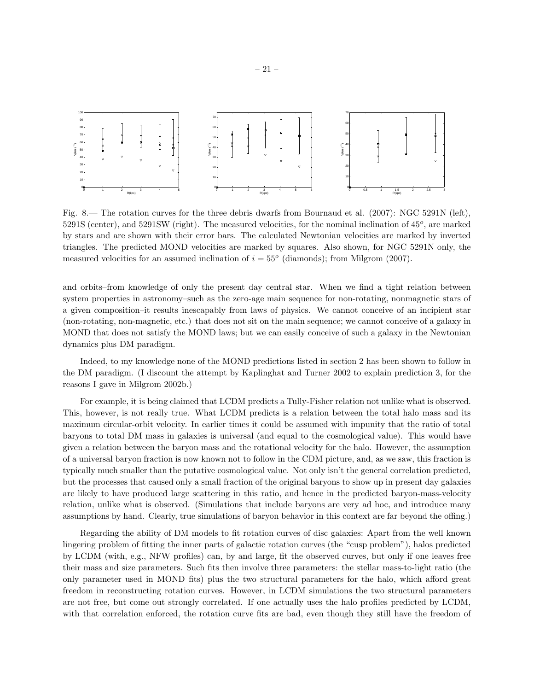

Fig. 8.— The rotation curves for the three debris dwarfs from Bournaud et al. (2007): NGC 5291N (left),  $5291S$  (center), and  $5291SW$  (right). The measured velocities, for the nominal inclination of  $45^o$ , are marked by stars and are shown with their error bars. The calculated Newtonian velocities are marked by inverted triangles. The predicted MOND velocities are marked by squares. Also shown, for NGC 5291N only, the measured velocities for an assumed inclination of  $i = 55^{\circ}$  (diamonds); from Milgrom (2007).

and orbits–from knowledge of only the present day central star. When we find a tight relation between system properties in astronomy–such as the zero-age main sequence for non-rotating, nonmagnetic stars of a given composition–it results inescapably from laws of physics. We cannot conceive of an incipient star (non-rotating, non-magnetic, etc.) that does not sit on the main sequence; we cannot conceive of a galaxy in MOND that does not satisfy the MOND laws; but we can easily conceive of such a galaxy in the Newtonian dynamics plus DM paradigm.

Indeed, to my knowledge none of the MOND predictions listed in section 2 has been shown to follow in the DM paradigm. (I discount the attempt by Kaplinghat and Turner 2002 to explain prediction 3, for the reasons I gave in Milgrom 2002b.)

For example, it is being claimed that LCDM predicts a Tully-Fisher relation not unlike what is observed. This, however, is not really true. What LCDM predicts is a relation between the total halo mass and its maximum circular-orbit velocity. In earlier times it could be assumed with impunity that the ratio of total baryons to total DM mass in galaxies is universal (and equal to the cosmological value). This would have given a relation between the baryon mass and the rotational velocity for the halo. However, the assumption of a universal baryon fraction is now known not to follow in the CDM picture, and, as we saw, this fraction is typically much smaller than the putative cosmological value. Not only isn't the general correlation predicted, but the processes that caused only a small fraction of the original baryons to show up in present day galaxies are likely to have produced large scattering in this ratio, and hence in the predicted baryon-mass-velocity relation, unlike what is observed. (Simulations that include baryons are very ad hoc, and introduce many assumptions by hand. Clearly, true simulations of baryon behavior in this context are far beyond the offing.)

Regarding the ability of DM models to fit rotation curves of disc galaxies: Apart from the well known lingering problem of fitting the inner parts of galactic rotation curves (the "cusp problem"), halos predicted by LCDM (with, e.g., NFW profiles) can, by and large, fit the observed curves, but only if one leaves free their mass and size parameters. Such fits then involve three parameters: the stellar mass-to-light ratio (the only parameter used in MOND fits) plus the two structural parameters for the halo, which afford great freedom in reconstructing rotation curves. However, in LCDM simulations the two structural parameters are not free, but come out strongly correlated. If one actually uses the halo profiles predicted by LCDM, with that correlation enforced, the rotation curve fits are bad, even though they still have the freedom of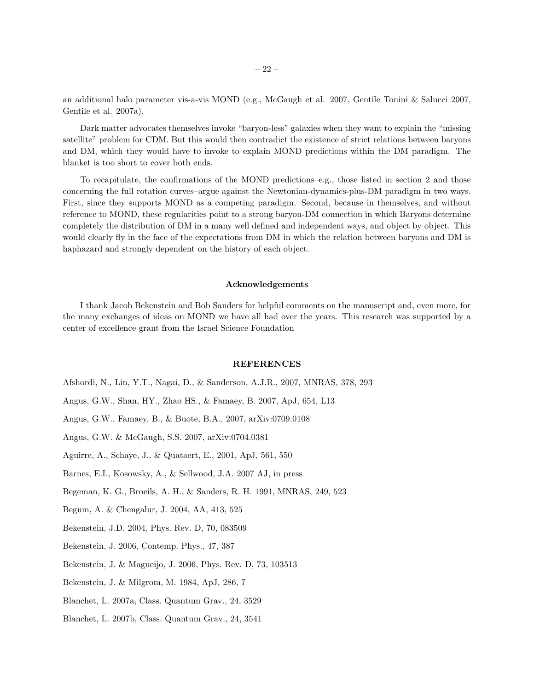an additional halo parameter vis-a-vis MOND (e.g., McGaugh et al. 2007, Gentile Tonini & Salucci 2007, Gentile et al. 2007a).

Dark matter advocates themselves invoke "baryon-less" galaxies when they want to explain the "missing satellite" problem for CDM. But this would then contradict the existence of strict relations between baryons and DM, which they would have to invoke to explain MOND predictions within the DM paradigm. The blanket is too short to cover both ends.

To recapitulate, the confirmations of the MOND predictions–e.g., those listed in section 2 and those concerning the full rotation curves–argue against the Newtonian-dynamics-plus-DM paradigm in two ways. First, since they supports MOND as a competing paradigm. Second, because in themselves, and without reference to MOND, these regularities point to a strong baryon-DM connection in which Baryons determine completely the distribution of DM in a many well defined and independent ways, and object by object. This would clearly fly in the face of the expectations from DM in which the relation between baryons and DM is haphazard and strongly dependent on the history of each object.

#### Acknowledgements

I thank Jacob Bekenstein and Bob Sanders for helpful comments on the manuscript and, even more, for the many exchanges of ideas on MOND we have all had over the years. This research was supported by a center of excellence grant from the Israel Science Foundation

#### REFERENCES

- Afshordi, N., Lin, Y.T., Nagai, D., & Sanderson, A.J.R., 2007, MNRAS, 378, 293
- Angus, G.W., Shan, HY., Zhao HS., & Famaey, B. 2007, ApJ, 654, L13
- Angus, G.W., Famaey, B., & Buote, B.A., 2007, arXiv:0709.0108
- Angus, G.W. & McGaugh, S.S. 2007, arXiv:0704.0381
- Aguirre, A., Schaye, J., & Quataert, E., 2001, ApJ, 561, 550
- Barnes, E.I., Kosowsky, A., & Sellwood, J.A. 2007 AJ, in press
- Begeman, K. G., Broeils, A. H., & Sanders, R. H. 1991, MNRAS, 249, 523
- Begum, A. & Chengalur, J. 2004, AA, 413, 525
- Bekenstein, J.D. 2004, Phys. Rev. D, 70, 083509
- Bekenstein, J. 2006, Contemp. Phys., 47, 387
- Bekenstein, J. & Magueijo, J. 2006, Phys. Rev. D, 73, 103513
- Bekenstein, J. & Milgrom, M. 1984, ApJ, 286, 7
- Blanchet, L. 2007a, Class. Quantum Grav., 24, 3529
- Blanchet, L. 2007b, Class. Quantum Grav., 24, 3541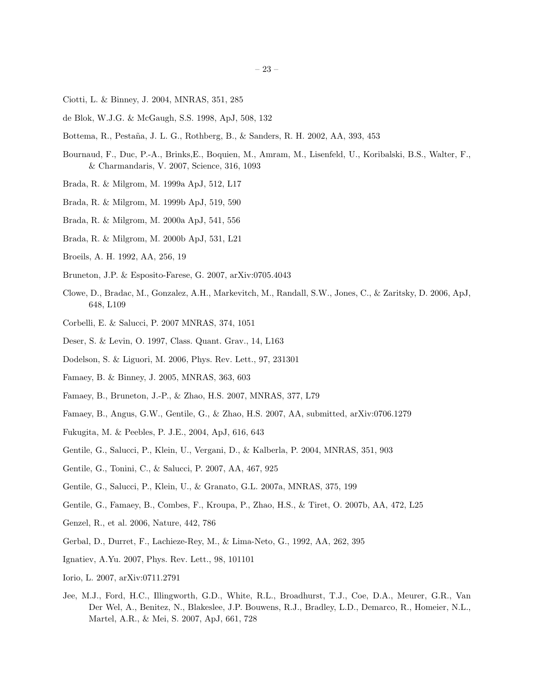- Ciotti, L. & Binney, J. 2004, MNRAS, 351, 285
- de Blok, W.J.G. & McGaugh, S.S. 1998, ApJ, 508, 132
- Bottema, R., Pesta˜na, J. L. G., Rothberg, B., & Sanders, R. H. 2002, AA, 393, 453
- Bournaud, F., Duc, P.-A., Brinks,E., Boquien, M., Amram, M., Lisenfeld, U., Koribalski, B.S., Walter, F., & Charmandaris, V. 2007, Science, 316, 1093
- Brada, R. & Milgrom, M. 1999a ApJ, 512, L17
- Brada, R. & Milgrom, M. 1999b ApJ, 519, 590
- Brada, R. & Milgrom, M. 2000a ApJ, 541, 556
- Brada, R. & Milgrom, M. 2000b ApJ, 531, L21
- Broeils, A. H. 1992, AA, 256, 19
- Bruneton, J.P. & Esposito-Farese, G. 2007, arXiv:0705.4043
- Clowe, D., Bradac, M., Gonzalez, A.H., Markevitch, M., Randall, S.W., Jones, C., & Zaritsky, D. 2006, ApJ, 648, L109
- Corbelli, E. & Salucci, P. 2007 MNRAS, 374, 1051
- Deser, S. & Levin, O. 1997, Class. Quant. Grav., 14, L163
- Dodelson, S. & Liguori, M. 2006, Phys. Rev. Lett., 97, 231301
- Famaey, B. & Binney, J. 2005, MNRAS, 363, 603
- Famaey, B., Bruneton, J.-P., & Zhao, H.S. 2007, MNRAS, 377, L79
- Famaey, B., Angus, G.W., Gentile, G., & Zhao, H.S. 2007, AA, submitted, arXiv:0706.1279
- Fukugita, M. & Peebles, P. J.E., 2004, ApJ, 616, 643
- Gentile, G., Salucci, P., Klein, U., Vergani, D., & Kalberla, P. 2004, MNRAS, 351, 903
- Gentile, G., Tonini, C., & Salucci, P. 2007, AA, 467, 925
- Gentile, G., Salucci, P., Klein, U., & Granato, G.L. 2007a, MNRAS, 375, 199
- Gentile, G., Famaey, B., Combes, F., Kroupa, P., Zhao, H.S., & Tiret, O. 2007b, AA, 472, L25
- Genzel, R., et al. 2006, Nature, 442, 786
- Gerbal, D., Durret, F., Lachieze-Rey, M., & Lima-Neto, G., 1992, AA, 262, 395
- Ignatiev, A.Yu. 2007, Phys. Rev. Lett., 98, 101101
- Iorio, L. 2007, arXiv:0711.2791
- Jee, M.J., Ford, H.C., Illingworth, G.D., White, R.L., Broadhurst, T.J., Coe, D.A., Meurer, G.R., Van Der Wel, A., Benitez, N., Blakeslee, J.P. Bouwens, R.J., Bradley, L.D., Demarco, R., Homeier, N.L., Martel, A.R., & Mei, S. 2007, ApJ, 661, 728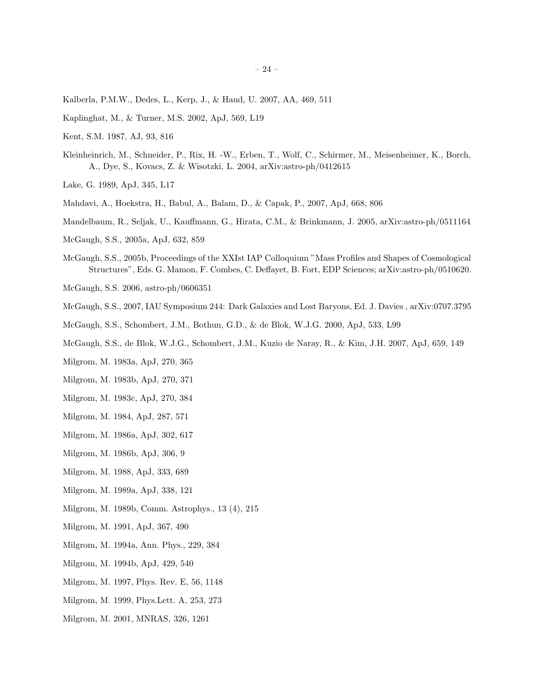- Kalberla, P.M.W., Dedes, L., Kerp, J., & Haud, U. 2007, AA, 469, 511
- Kaplinghat, M., & Turner, M.S. 2002, ApJ, 569, L19
- Kent, S.M. 1987, AJ, 93, 816
- Kleinheinrich, M., Schneider, P., Rix, H. -W., Erben, T., Wolf, C., Schirmer, M., Meisenheimer, K., Borch, A., Dye, S., Kovacs, Z. & Wisotzki, L. 2004, arXiv:astro-ph/0412615
- Lake, G. 1989, ApJ, 345, L17
- Mahdavi, A., Hoekstra, H., Babul, A., Balam, D., & Capak, P., 2007, ApJ, 668, 806
- Mandelbaum, R., Seljak, U., Kauffmann, G., Hirata, C.M., & Brinkmann, J. 2005, arXiv:astro-ph/0511164
- McGaugh, S.S., 2005a, ApJ, 632, 859
- McGaugh, S.S., 2005b, Proceedings of the XXIst IAP Colloquium "Mass Profiles and Shapes of Cosmological Structures", Eds. G. Mamon, F. Combes, C. Deffayet, B. Fort, EDP Sciences; arXiv:astro-ph/0510620.
- McGaugh, S.S. 2006, astro-ph/0606351
- McGaugh, S.S., 2007, IAU Symposium 244: Dark Galaxies and Lost Baryons, Ed. J. Davies , arXiv:0707.3795
- McGaugh, S.S., Schombert, J.M., Bothun, G.D., & de Blok, W.J.G. 2000, ApJ, 533, L99
- McGaugh, S.S., de Blok, W.J.G., Schombert, J.M., Kuzio de Naray, R., & Kim, J.H. 2007, ApJ, 659, 149
- Milgrom, M. 1983a, ApJ, 270, 365
- Milgrom, M. 1983b, ApJ, 270, 371
- Milgrom, M. 1983c, ApJ, 270, 384
- Milgrom, M. 1984, ApJ, 287, 571
- Milgrom, M. 1986a, ApJ, 302, 617
- Milgrom, M. 1986b, ApJ, 306, 9
- Milgrom, M. 1988, ApJ, 333, 689
- Milgrom, M. 1989a, ApJ, 338, 121
- Milgrom, M. 1989b, Comm. Astrophys., 13 (4), 215
- Milgrom, M. 1991, ApJ, 367, 490
- Milgrom, M. 1994a, Ann. Phys., 229, 384
- Milgrom, M. 1994b, ApJ, 429, 540
- Milgrom, M. 1997, Phys. Rev. E, 56, 1148
- Milgrom, M. 1999, Phys.Lett. A, 253, 273
- Milgrom, M. 2001, MNRAS, 326, 1261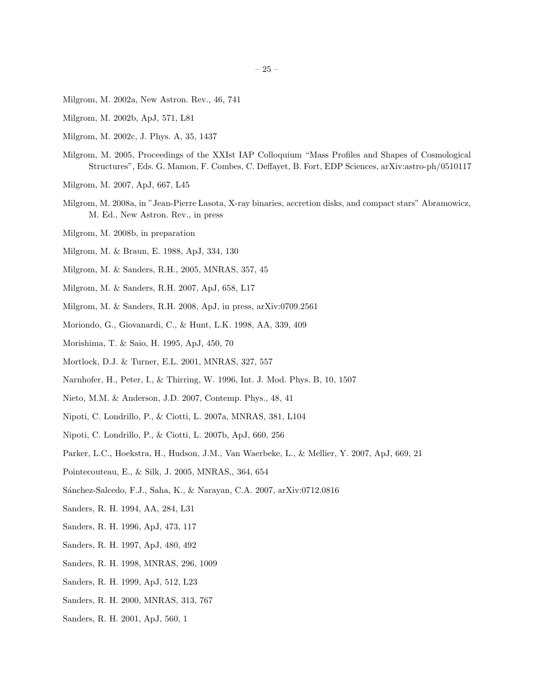- Milgrom, M. 2002a, New Astron. Rev., 46, 741
- Milgrom, M. 2002b, ApJ, 571, L81
- Milgrom, M. 2002c, J. Phys. A, 35, 1437
- Milgrom, M. 2005, Proceedings of the XXIst IAP Colloquium "Mass Profiles and Shapes of Cosmological Structures", Eds. G. Mamon, F. Combes, C. Deffayet, B. Fort, EDP Sciences, arXiv:astro-ph/0510117
- Milgrom, M. 2007, ApJ, 667, L45
- Milgrom, M. 2008a, in "Jean-Pierre Lasota, X-ray binaries, accretion disks, and compact stars" Abramowicz, M. Ed., New Astron. Rev., in press
- Milgrom, M. 2008b, in preparation
- Milgrom, M. & Braun, E. 1988, ApJ, 334, 130
- Milgrom, M. & Sanders, R.H., 2005, MNRAS, 357, 45
- Milgrom, M. & Sanders, R.H. 2007, ApJ, 658, L17
- Milgrom, M. & Sanders, R.H. 2008, ApJ, in press, arXiv:0709.2561
- Moriondo, G., Giovanardi, C., & Hunt, L.K. 1998, AA, 339, 409
- Morishima, T. & Saio, H. 1995, ApJ, 450, 70
- Mortlock, D.J. & Turner, E.L. 2001, MNRAS, 327, 557
- Narnhofer, H., Peter, I., & Thirring, W. 1996, Int. J. Mod. Phys. B, 10, 1507
- Nieto, M.M. & Anderson, J.D. 2007, Contemp. Phys., 48, 41
- Nipoti, C. Londrillo, P., & Ciotti, L. 2007a, MNRAS, 381, L104
- Nipoti, C. Londrillo, P., & Ciotti, L. 2007b, ApJ, 660, 256
- Parker, L.C., Hoekstra, H., Hudson, J.M., Van Waerbeke, L., & Mellier, Y. 2007, ApJ, 669, 21
- Pointecouteau, E., & Silk, J. 2005, MNRAS,, 364, 654
- Sánchez-Salcedo, F.J., Saha, K., & Narayan, C.A. 2007, arXiv:0712.0816
- Sanders, R. H. 1994, AA, 284, L31
- Sanders, R. H. 1996, ApJ, 473, 117
- Sanders, R. H. 1997, ApJ, 480, 492
- Sanders, R. H. 1998, MNRAS, 296, 1009
- Sanders, R. H. 1999, ApJ, 512, L23
- Sanders, R. H. 2000, MNRAS, 313, 767
- Sanders, R. H. 2001, ApJ, 560, 1